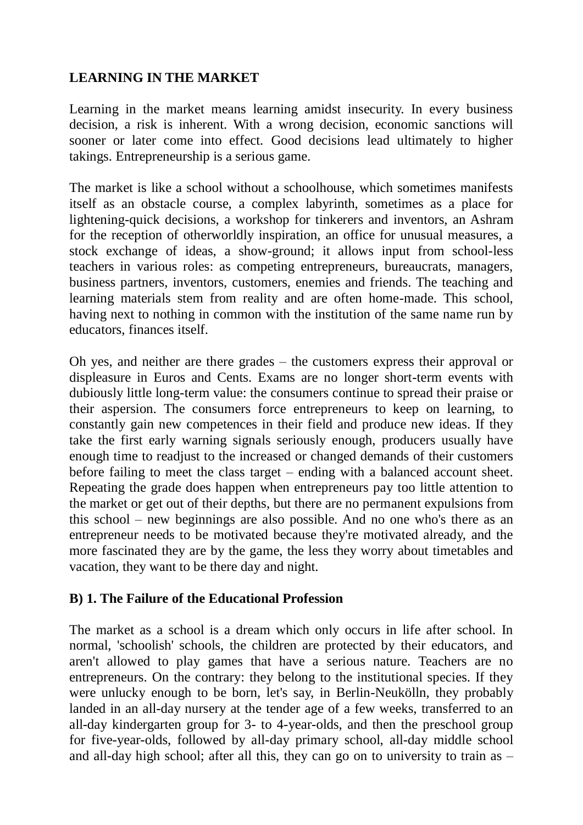# **LEARNING IN THE MARKET**

Learning in the market means learning amidst insecurity. In every business decision, a risk is inherent. With a wrong decision, economic sanctions will sooner or later come into effect. Good decisions lead ultimately to higher takings. Entrepreneurship is a serious game.

The market is like a school without a schoolhouse, which sometimes manifests itself as an obstacle course, a complex labyrinth, sometimes as a place for lightening-quick decisions, a workshop for tinkerers and inventors, an Ashram for the reception of otherworldly inspiration, an office for unusual measures, a stock exchange of ideas, a show-ground; it allows input from school-less teachers in various roles: as competing entrepreneurs, bureaucrats, managers, business partners, inventors, customers, enemies and friends. The teaching and learning materials stem from reality and are often home-made. This school, having next to nothing in common with the institution of the same name run by educators, finances itself.

Oh yes, and neither are there grades – the customers express their approval or displeasure in Euros and Cents. Exams are no longer short-term events with dubiously little long-term value: the consumers continue to spread their praise or their aspersion. The consumers force entrepreneurs to keep on learning, to constantly gain new competences in their field and produce new ideas. If they take the first early warning signals seriously enough, producers usually have enough time to readjust to the increased or changed demands of their customers before failing to meet the class target – ending with a balanced account sheet. Repeating the grade does happen when entrepreneurs pay too little attention to the market or get out of their depths, but there are no permanent expulsions from this school – new beginnings are also possible. And no one who's there as an entrepreneur needs to be motivated because they're motivated already, and the more fascinated they are by the game, the less they worry about timetables and vacation, they want to be there day and night.

# **B) 1. The Failure of the Educational Profession**

The market as a school is a dream which only occurs in life after school. In normal, 'schoolish' schools, the children are protected by their educators, and aren't allowed to play games that have a serious nature. Teachers are no entrepreneurs. On the contrary: they belong to the institutional species. If they were unlucky enough to be born, let's say, in Berlin-Neukölln, they probably landed in an all-day nursery at the tender age of a few weeks, transferred to an all-day kindergarten group for 3- to 4-year-olds, and then the preschool group for five-year-olds, followed by all-day primary school, all-day middle school and all-day high school; after all this, they can go on to university to train as –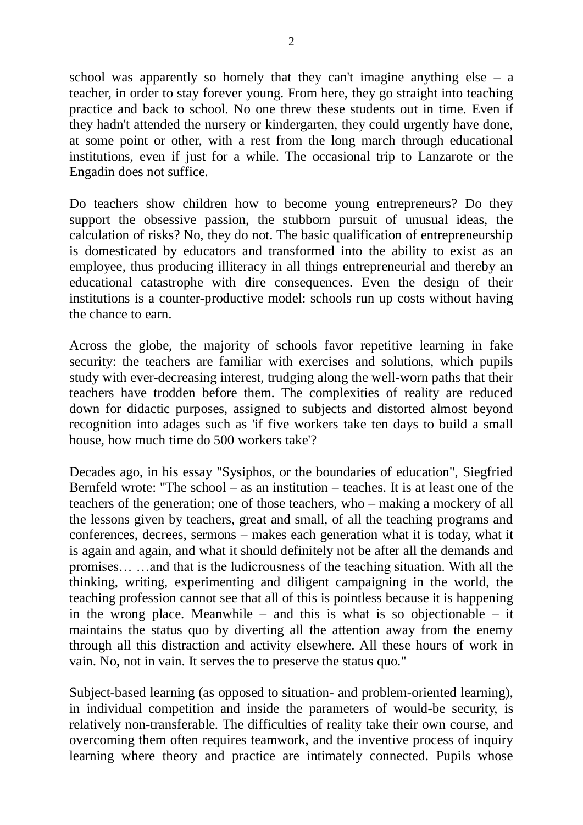school was apparently so homely that they can't imagine anything else  $-$  a teacher, in order to stay forever young. From here, they go straight into teaching practice and back to school. No one threw these students out in time. Even if they hadn't attended the nursery or kindergarten, they could urgently have done, at some point or other, with a rest from the long march through educational institutions, even if just for a while. The occasional trip to Lanzarote or the Engadin does not suffice.

Do teachers show children how to become young entrepreneurs? Do they support the obsessive passion, the stubborn pursuit of unusual ideas, the calculation of risks? No, they do not. The basic qualification of entrepreneurship is domesticated by educators and transformed into the ability to exist as an employee, thus producing illiteracy in all things entrepreneurial and thereby an educational catastrophe with dire consequences. Even the design of their institutions is a counter-productive model: schools run up costs without having the chance to earn.

Across the globe, the majority of schools favor repetitive learning in fake security: the teachers are familiar with exercises and solutions, which pupils study with ever-decreasing interest, trudging along the well-worn paths that their teachers have trodden before them. The complexities of reality are reduced down for didactic purposes, assigned to subjects and distorted almost beyond recognition into adages such as 'if five workers take ten days to build a small house, how much time do 500 workers take'?

Decades ago, in his essay "Sysiphos, or the boundaries of education", Siegfried Bernfeld wrote: "The school – as an institution – teaches. It is at least one of the teachers of the generation; one of those teachers, who – making a mockery of all the lessons given by teachers, great and small, of all the teaching programs and conferences, decrees, sermons – makes each generation what it is today, what it is again and again, and what it should definitely not be after all the demands and promises… …and that is the ludicrousness of the teaching situation. With all the thinking, writing, experimenting and diligent campaigning in the world, the teaching profession cannot see that all of this is pointless because it is happening in the wrong place. Meanwhile – and this is what is so objectionable – it maintains the status quo by diverting all the attention away from the enemy through all this distraction and activity elsewhere. All these hours of work in vain. No, not in vain. It serves the to preserve the status quo."

Subject-based learning (as opposed to situation- and problem-oriented learning), in individual competition and inside the parameters of would-be security, is relatively non-transferable. The difficulties of reality take their own course, and overcoming them often requires teamwork, and the inventive process of inquiry learning where theory and practice are intimately connected. Pupils whose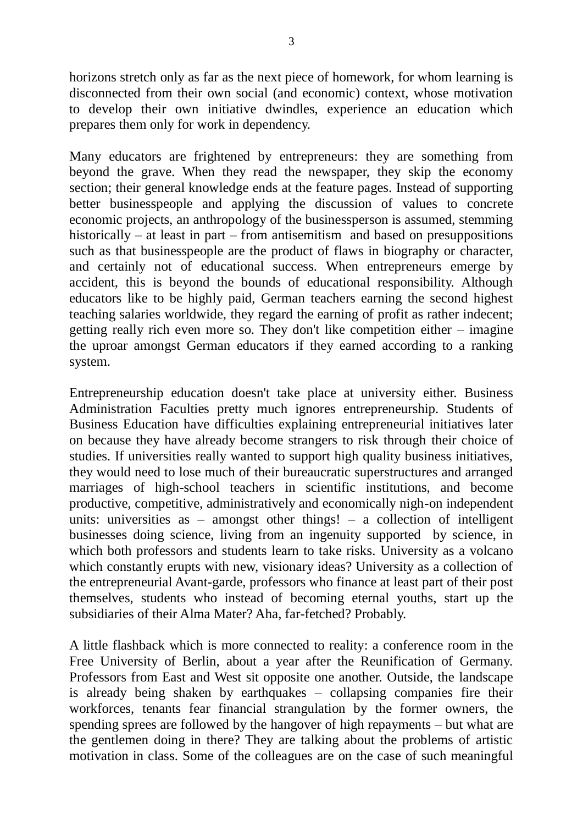horizons stretch only as far as the next piece of homework, for whom learning is disconnected from their own social (and economic) context, whose motivation to develop their own initiative dwindles, experience an education which prepares them only for work in dependency.

Many educators are frightened by entrepreneurs: they are something from beyond the grave. When they read the newspaper, they skip the economy section; their general knowledge ends at the feature pages. Instead of supporting better businesspeople and applying the discussion of values to concrete economic projects, an anthropology of the businessperson is assumed, stemming historically – at least in part – from antisemitism and based on presuppositions such as that businesspeople are the product of flaws in biography or character, and certainly not of educational success. When entrepreneurs emerge by accident, this is beyond the bounds of educational responsibility. Although educators like to be highly paid, German teachers earning the second highest teaching salaries worldwide, they regard the earning of profit as rather indecent; getting really rich even more so. They don't like competition either – imagine the uproar amongst German educators if they earned according to a ranking system.

Entrepreneurship education doesn't take place at university either. Business Administration Faculties pretty much ignores entrepreneurship. Students of Business Education have difficulties explaining entrepreneurial initiatives later on because they have already become strangers to risk through their choice of studies. If universities really wanted to support high quality business initiatives, they would need to lose much of their bureaucratic superstructures and arranged marriages of high-school teachers in scientific institutions, and become productive, competitive, administratively and economically nigh-on independent units: universities as – amongst other things! *–* a collection of intelligent businesses doing science, living from an ingenuity supported by science, in which both professors and students learn to take risks. University as a volcano which constantly erupts with new, visionary ideas? University as a collection of the entrepreneurial Avant-garde, professors who finance at least part of their post themselves, students who instead of becoming eternal youths, start up the subsidiaries of their Alma Mater? Aha, far-fetched? Probably.

A little flashback which is more connected to reality: a conference room in the Free University of Berlin, about a year after the Reunification of Germany. Professors from East and West sit opposite one another. Outside, the landscape is already being shaken by earthquakes – collapsing companies fire their workforces, tenants fear financial strangulation by the former owners, the spending sprees are followed by the hangover of high repayments – but what are the gentlemen doing in there? They are talking about the problems of artistic motivation in class. Some of the colleagues are on the case of such meaningful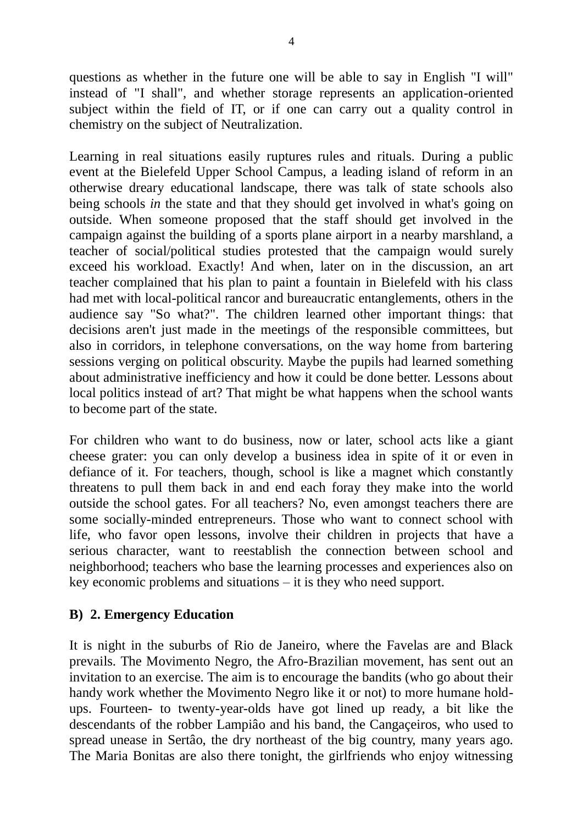questions as whether in the future one will be able to say in English "I will" instead of "I shall", and whether storage represents an application-oriented subject within the field of IT, or if one can carry out a quality control in chemistry on the subject of Neutralization.

Learning in real situations easily ruptures rules and rituals. During a public event at the Bielefeld Upper School Campus, a leading island of reform in an otherwise dreary educational landscape, there was talk of state schools also being schools *in* the state and that they should get involved in what's going on outside. When someone proposed that the staff should get involved in the campaign against the building of a sports plane airport in a nearby marshland, a teacher of social/political studies protested that the campaign would surely exceed his workload. Exactly! And when, later on in the discussion, an art teacher complained that his plan to paint a fountain in Bielefeld with his class had met with local-political rancor and bureaucratic entanglements, others in the audience say "So what?". The children learned other important things: that decisions aren't just made in the meetings of the responsible committees, but also in corridors, in telephone conversations, on the way home from bartering sessions verging on political obscurity. Maybe the pupils had learned something about administrative inefficiency and how it could be done better. Lessons about local politics instead of art? That might be what happens when the school wants to become part of the state.

For children who want to do business, now or later, school acts like a giant cheese grater: you can only develop a business idea in spite of it or even in defiance of it. For teachers, though, school is like a magnet which constantly threatens to pull them back in and end each foray they make into the world outside the school gates. For all teachers? No, even amongst teachers there are some socially-minded entrepreneurs. Those who want to connect school with life, who favor open lessons, involve their children in projects that have a serious character, want to reestablish the connection between school and neighborhood; teachers who base the learning processes and experiences also on key economic problems and situations – it is they who need support.

# **B) 2. Emergency Education**

It is night in the suburbs of Rio de Janeiro, where the Favelas are and Black prevails. The Movimento Negro, the Afro-Brazilian movement, has sent out an invitation to an exercise. The aim is to encourage the bandits (who go about their handy work whether the Movimento Negro like it or not) to more humane holdups. Fourteen- to twenty-year-olds have got lined up ready, a bit like the descendants of the robber Lampiâo and his band, the Cangaçeiros, who used to spread unease in Sertâo, the dry northeast of the big country, many years ago. The Maria Bonitas are also there tonight, the girlfriends who enjoy witnessing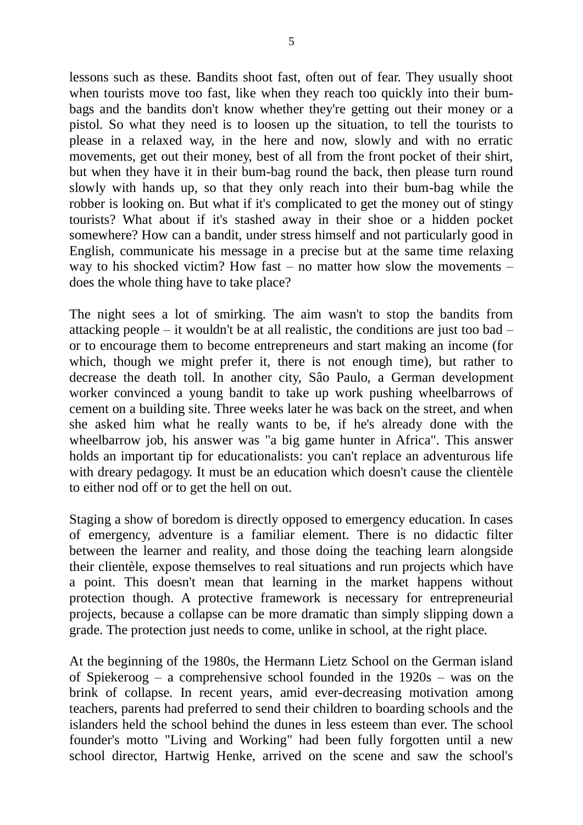lessons such as these. Bandits shoot fast, often out of fear. They usually shoot when tourists move too fast, like when they reach too quickly into their bumbags and the bandits don't know whether they're getting out their money or a pistol. So what they need is to loosen up the situation, to tell the tourists to please in a relaxed way, in the here and now, slowly and with no erratic movements, get out their money, best of all from the front pocket of their shirt, but when they have it in their bum-bag round the back, then please turn round slowly with hands up, so that they only reach into their bum-bag while the robber is looking on. But what if it's complicated to get the money out of stingy tourists? What about if it's stashed away in their shoe or a hidden pocket somewhere? How can a bandit, under stress himself and not particularly good in English, communicate his message in a precise but at the same time relaxing way to his shocked victim? How fast – no matter how slow the movements – does the whole thing have to take place?

The night sees a lot of smirking. The aim wasn't to stop the bandits from attacking people – it wouldn't be at all realistic, the conditions are just too bad – or to encourage them to become entrepreneurs and start making an income (for which, though we might prefer it, there is not enough time), but rather to decrease the death toll. In another city, Sâo Paulo, a German development worker convinced a young bandit to take up work pushing wheelbarrows of cement on a building site. Three weeks later he was back on the street, and when she asked him what he really wants to be, if he's already done with the wheelbarrow job, his answer was "a big game hunter in Africa". This answer holds an important tip for educationalists: you can't replace an adventurous life with dreary pedagogy. It must be an education which doesn't cause the clientèle to either nod off or to get the hell on out.

Staging a show of boredom is directly opposed to emergency education. In cases of emergency, adventure is a familiar element. There is no didactic filter between the learner and reality, and those doing the teaching learn alongside their clientèle, expose themselves to real situations and run projects which have a point. This doesn't mean that learning in the market happens without protection though. A protective framework is necessary for entrepreneurial projects, because a collapse can be more dramatic than simply slipping down a grade. The protection just needs to come, unlike in school, at the right place.

At the beginning of the 1980s, the Hermann Lietz School on the German island of Spiekeroog – a comprehensive school founded in the 1920s – was on the brink of collapse. In recent years, amid ever-decreasing motivation among teachers, parents had preferred to send their children to boarding schools and the islanders held the school behind the dunes in less esteem than ever. The school founder's motto "Living and Working" had been fully forgotten until a new school director, Hartwig Henke, arrived on the scene and saw the school's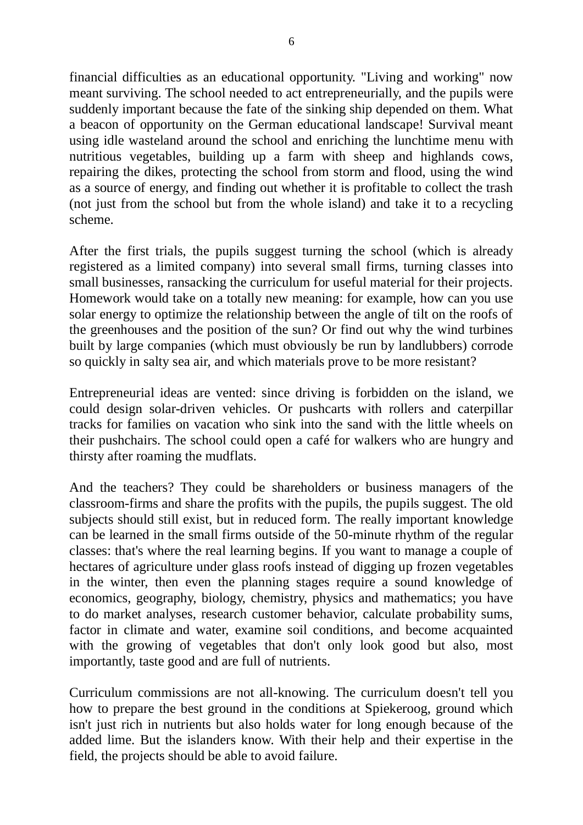financial difficulties as an educational opportunity. "Living and working" now meant surviving. The school needed to act entrepreneurially, and the pupils were suddenly important because the fate of the sinking ship depended on them. What a beacon of opportunity on the German educational landscape! Survival meant using idle wasteland around the school and enriching the lunchtime menu with nutritious vegetables, building up a farm with sheep and highlands cows, repairing the dikes, protecting the school from storm and flood, using the wind as a source of energy, and finding out whether it is profitable to collect the trash (not just from the school but from the whole island) and take it to a recycling scheme.

After the first trials, the pupils suggest turning the school (which is already registered as a limited company) into several small firms, turning classes into small businesses, ransacking the curriculum for useful material for their projects. Homework would take on a totally new meaning: for example, how can you use solar energy to optimize the relationship between the angle of tilt on the roofs of the greenhouses and the position of the sun? Or find out why the wind turbines built by large companies (which must obviously be run by landlubbers) corrode so quickly in salty sea air, and which materials prove to be more resistant?

Entrepreneurial ideas are vented: since driving is forbidden on the island, we could design solar-driven vehicles. Or pushcarts with rollers and caterpillar tracks for families on vacation who sink into the sand with the little wheels on their pushchairs. The school could open a café for walkers who are hungry and thirsty after roaming the mudflats.

And the teachers? They could be shareholders or business managers of the classroom-firms and share the profits with the pupils, the pupils suggest. The old subjects should still exist, but in reduced form. The really important knowledge can be learned in the small firms outside of the 50-minute rhythm of the regular classes: that's where the real learning begins. If you want to manage a couple of hectares of agriculture under glass roofs instead of digging up frozen vegetables in the winter, then even the planning stages require a sound knowledge of economics, geography, biology, chemistry, physics and mathematics; you have to do market analyses, research customer behavior, calculate probability sums, factor in climate and water, examine soil conditions, and become acquainted with the growing of vegetables that don't only look good but also, most importantly, taste good and are full of nutrients.

Curriculum commissions are not all-knowing. The curriculum doesn't tell you how to prepare the best ground in the conditions at Spiekeroog, ground which isn't just rich in nutrients but also holds water for long enough because of the added lime. But the islanders know. With their help and their expertise in the field, the projects should be able to avoid failure.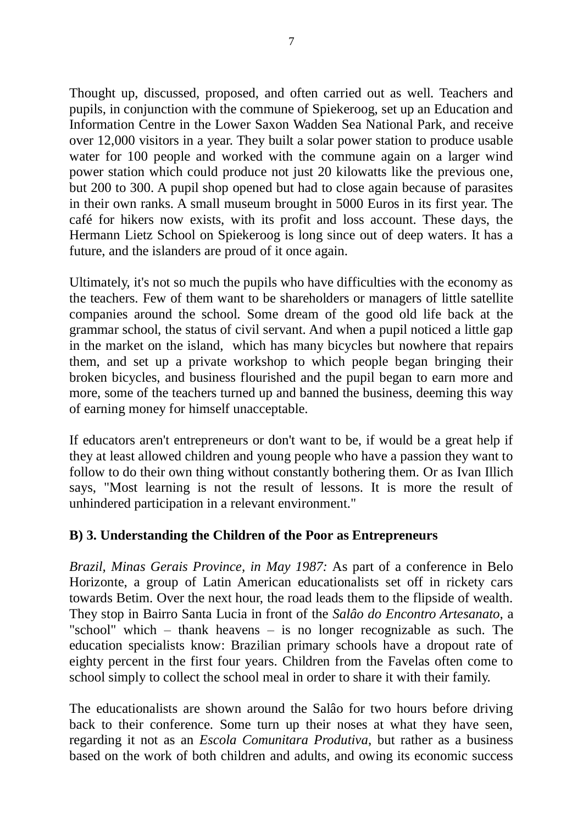Thought up, discussed, proposed, and often carried out as well. Teachers and pupils, in conjunction with the commune of Spiekeroog, set up an Education and Information Centre in the Lower Saxon Wadden Sea National Park, and receive over 12,000 visitors in a year. They built a solar power station to produce usable water for 100 people and worked with the commune again on a larger wind power station which could produce not just 20 kilowatts like the previous one, but 200 to 300. A pupil shop opened but had to close again because of parasites in their own ranks. A small museum brought in 5000 Euros in its first year. The café for hikers now exists, with its profit and loss account. These days, the Hermann Lietz School on Spiekeroog is long since out of deep waters. It has a future, and the islanders are proud of it once again.

Ultimately, it's not so much the pupils who have difficulties with the economy as the teachers. Few of them want to be shareholders or managers of little satellite companies around the school. Some dream of the good old life back at the grammar school, the status of civil servant. And when a pupil noticed a little gap in the market on the island, which has many bicycles but nowhere that repairs them, and set up a private workshop to which people began bringing their broken bicycles, and business flourished and the pupil began to earn more and more, some of the teachers turned up and banned the business, deeming this way of earning money for himself unacceptable.

If educators aren't entrepreneurs or don't want to be, if would be a great help if they at least allowed children and young people who have a passion they want to follow to do their own thing without constantly bothering them. Or as Ivan Illich says, "Most learning is not the result of lessons. It is more the result of unhindered participation in a relevant environment."

# **B) 3. Understanding the Children of the Poor as Entrepreneurs**

*Brazil, Minas Gerais Province, in May 1987:* As part of a conference in Belo Horizonte, a group of Latin American educationalists set off in rickety cars towards Betim. Over the next hour, the road leads them to the flipside of wealth. They stop in Bairro Santa Lucia in front of the *Salâo do Encontro Artesanato*, a "school" which – thank heavens – is no longer recognizable as such. The education specialists know: Brazilian primary schools have a dropout rate of eighty percent in the first four years. Children from the Favelas often come to school simply to collect the school meal in order to share it with their family.

The educationalists are shown around the Salâo for two hours before driving back to their conference. Some turn up their noses at what they have seen, regarding it not as an *Escola Comunitara Produtiva*, but rather as a business based on the work of both children and adults, and owing its economic success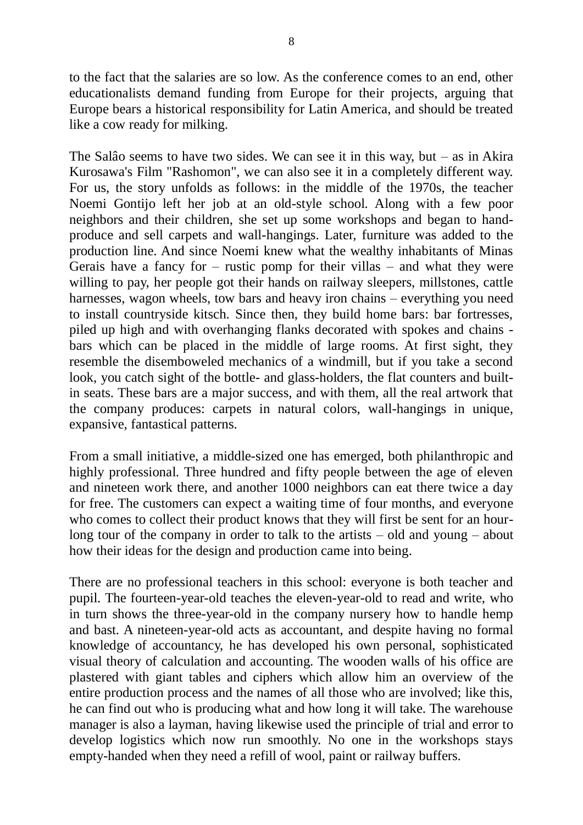to the fact that the salaries are so low. As the conference comes to an end, other educationalists demand funding from Europe for their projects, arguing that Europe bears a historical responsibility for Latin America, and should be treated like a cow ready for milking.

The Salâo seems to have two sides. We can see it in this way, but  $-$  as in Akira Kurosawa's Film "Rashomon", we can also see it in a completely different way. For us, the story unfolds as follows: in the middle of the 1970s, the teacher Noemi Gontijo left her job at an old-style school. Along with a few poor neighbors and their children, she set up some workshops and began to handproduce and sell carpets and wall-hangings. Later, furniture was added to the production line. And since Noemi knew what the wealthy inhabitants of Minas Gerais have a fancy for – rustic pomp for their villas – and what they were willing to pay, her people got their hands on railway sleepers, millstones, cattle harnesses, wagon wheels, tow bars and heavy iron chains – everything you need to install countryside kitsch. Since then, they build home bars: bar fortresses, piled up high and with overhanging flanks decorated with spokes and chains bars which can be placed in the middle of large rooms. At first sight, they resemble the disemboweled mechanics of a windmill, but if you take a second look, you catch sight of the bottle- and glass-holders, the flat counters and builtin seats. These bars are a major success, and with them, all the real artwork that the company produces: carpets in natural colors, wall-hangings in unique, expansive, fantastical patterns.

From a small initiative, a middle-sized one has emerged, both philanthropic and highly professional. Three hundred and fifty people between the age of eleven and nineteen work there, and another 1000 neighbors can eat there twice a day for free. The customers can expect a waiting time of four months, and everyone who comes to collect their product knows that they will first be sent for an hourlong tour of the company in order to talk to the artists – old and young – about how their ideas for the design and production came into being.

There are no professional teachers in this school: everyone is both teacher and pupil. The fourteen-year-old teaches the eleven-year-old to read and write, who in turn shows the three-year-old in the company nursery how to handle hemp and bast. A nineteen-year-old acts as accountant, and despite having no formal knowledge of accountancy, he has developed his own personal, sophisticated visual theory of calculation and accounting. The wooden walls of his office are plastered with giant tables and ciphers which allow him an overview of the entire production process and the names of all those who are involved; like this, he can find out who is producing what and how long it will take. The warehouse manager is also a layman, having likewise used the principle of trial and error to develop logistics which now run smoothly. No one in the workshops stays empty-handed when they need a refill of wool, paint or railway buffers.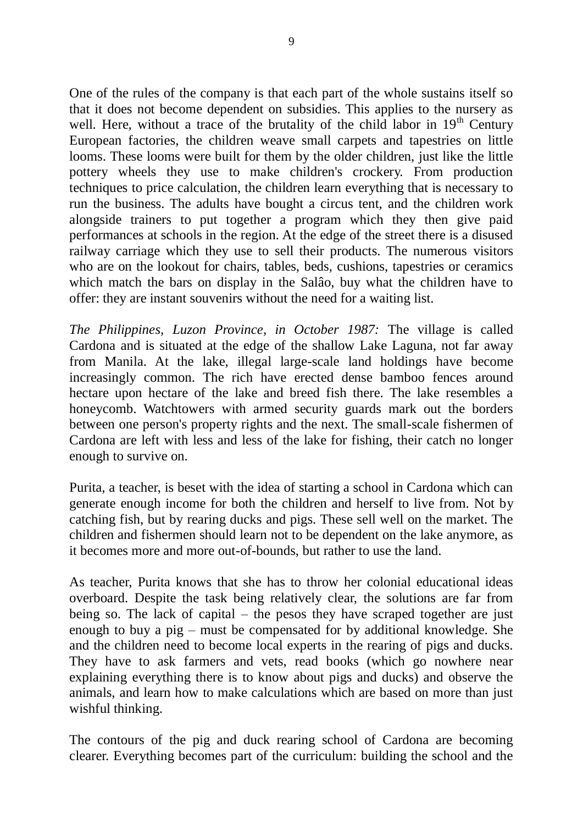One of the rules of the company is that each part of the whole sustains itself so that it does not become dependent on subsidies. This applies to the nursery as well. Here, without a trace of the brutality of the child labor in  $19<sup>th</sup>$  Century European factories, the children weave small carpets and tapestries on little looms. These looms were built for them by the older children, just like the little pottery wheels they use to make children's crockery. From production techniques to price calculation, the children learn everything that is necessary to run the business. The adults have bought a circus tent, and the children work alongside trainers to put together a program which they then give paid performances at schools in the region. At the edge of the street there is a disused railway carriage which they use to sell their products. The numerous visitors who are on the lookout for chairs, tables, beds, cushions, tapestries or ceramics which match the bars on display in the Salâo, buy what the children have to offer: they are instant souvenirs without the need for a waiting list.

*The Philippines, Luzon Province, in October 1987:* The village is called Cardona and is situated at the edge of the shallow Lake Laguna, not far away from Manila. At the lake, illegal large-scale land holdings have become increasingly common. The rich have erected dense bamboo fences around hectare upon hectare of the lake and breed fish there. The lake resembles a honeycomb. Watchtowers with armed security guards mark out the borders between one person's property rights and the next. The small-scale fishermen of Cardona are left with less and less of the lake for fishing, their catch no longer enough to survive on.

Purita, a teacher, is beset with the idea of starting a school in Cardona which can generate enough income for both the children and herself to live from. Not by catching fish, but by rearing ducks and pigs. These sell well on the market. The children and fishermen should learn not to be dependent on the lake anymore, as it becomes more and more out-of-bounds, but rather to use the land.

As teacher, Purita knows that she has to throw her colonial educational ideas overboard. Despite the task being relatively clear, the solutions are far from being so. The lack of capital – the pesos they have scraped together are just enough to buy a pig – must be compensated for by additional knowledge. She and the children need to become local experts in the rearing of pigs and ducks. They have to ask farmers and vets, read books (which go nowhere near explaining everything there is to know about pigs and ducks) and observe the animals, and learn how to make calculations which are based on more than just wishful thinking.

The contours of the pig and duck rearing school of Cardona are becoming clearer. Everything becomes part of the curriculum: building the school and the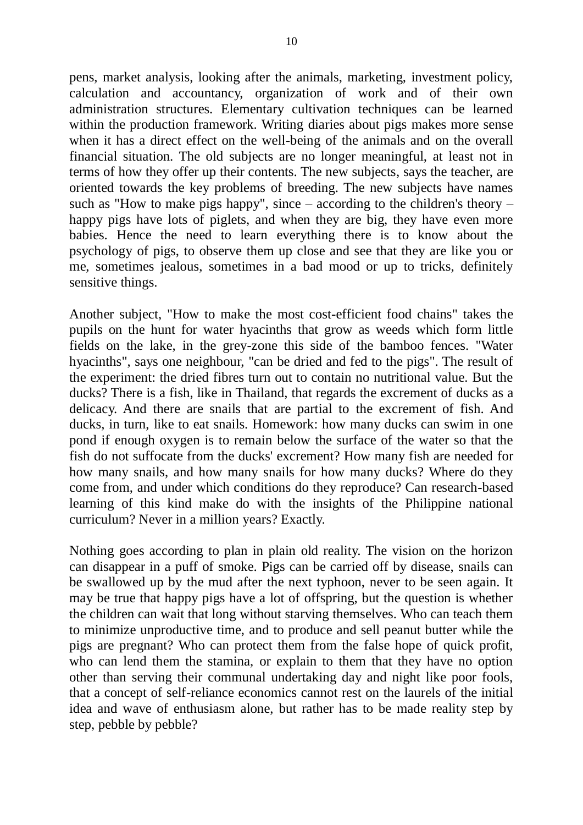pens, market analysis, looking after the animals, marketing, investment policy, calculation and accountancy, organization of work and of their own administration structures. Elementary cultivation techniques can be learned within the production framework. Writing diaries about pigs makes more sense when it has a direct effect on the well-being of the animals and on the overall financial situation. The old subjects are no longer meaningful, at least not in terms of how they offer up their contents. The new subjects, says the teacher, are oriented towards the key problems of breeding. The new subjects have names such as "How to make pigs happy", since – according to the children's theory – happy pigs have lots of piglets, and when they are big, they have even more babies. Hence the need to learn everything there is to know about the psychology of pigs, to observe them up close and see that they are like you or me, sometimes jealous, sometimes in a bad mood or up to tricks, definitely sensitive things.

Another subject, "How to make the most cost-efficient food chains" takes the pupils on the hunt for water hyacinths that grow as weeds which form little fields on the lake, in the grey-zone this side of the bamboo fences. "Water hyacinths", says one neighbour, "can be dried and fed to the pigs". The result of the experiment: the dried fibres turn out to contain no nutritional value. But the ducks? There is a fish, like in Thailand, that regards the excrement of ducks as a delicacy. And there are snails that are partial to the excrement of fish. And ducks, in turn, like to eat snails. Homework: how many ducks can swim in one pond if enough oxygen is to remain below the surface of the water so that the fish do not suffocate from the ducks' excrement? How many fish are needed for how many snails, and how many snails for how many ducks? Where do they come from, and under which conditions do they reproduce? Can research-based learning of this kind make do with the insights of the Philippine national curriculum? Never in a million years? Exactly.

Nothing goes according to plan in plain old reality. The vision on the horizon can disappear in a puff of smoke. Pigs can be carried off by disease, snails can be swallowed up by the mud after the next typhoon, never to be seen again. It may be true that happy pigs have a lot of offspring, but the question is whether the children can wait that long without starving themselves. Who can teach them to minimize unproductive time, and to produce and sell peanut butter while the pigs are pregnant? Who can protect them from the false hope of quick profit, who can lend them the stamina, or explain to them that they have no option other than serving their communal undertaking day and night like poor fools, that a concept of self-reliance economics cannot rest on the laurels of the initial idea and wave of enthusiasm alone, but rather has to be made reality step by step, pebble by pebble?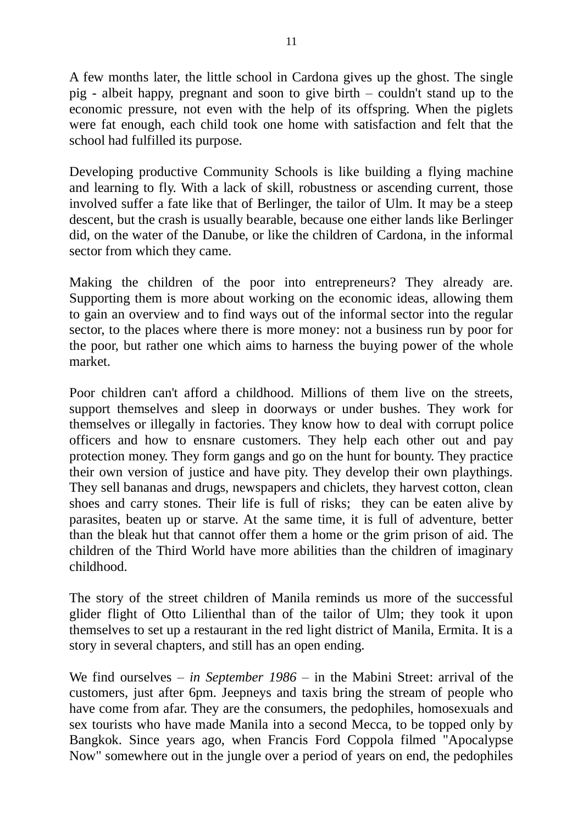A few months later, the little school in Cardona gives up the ghost. The single pig - albeit happy, pregnant and soon to give birth – couldn't stand up to the economic pressure, not even with the help of its offspring. When the piglets were fat enough, each child took one home with satisfaction and felt that the school had fulfilled its purpose.

Developing productive Community Schools is like building a flying machine and learning to fly. With a lack of skill, robustness or ascending current, those involved suffer a fate like that of Berlinger, the tailor of Ulm. It may be a steep descent, but the crash is usually bearable, because one either lands like Berlinger did, on the water of the Danube, or like the children of Cardona, in the informal sector from which they came.

Making the children of the poor into entrepreneurs? They already are. Supporting them is more about working on the economic ideas, allowing them to gain an overview and to find ways out of the informal sector into the regular sector, to the places where there is more money: not a business run by poor for the poor, but rather one which aims to harness the buying power of the whole market.

Poor children can't afford a childhood. Millions of them live on the streets, support themselves and sleep in doorways or under bushes. They work for themselves or illegally in factories. They know how to deal with corrupt police officers and how to ensnare customers. They help each other out and pay protection money. They form gangs and go on the hunt for bounty. They practice their own version of justice and have pity. They develop their own playthings. They sell bananas and drugs, newspapers and chiclets, they harvest cotton, clean shoes and carry stones. Their life is full of risks; they can be eaten alive by parasites, beaten up or starve. At the same time, it is full of adventure, better than the bleak hut that cannot offer them a home or the grim prison of aid. The children of the Third World have more abilities than the children of imaginary childhood.

The story of the street children of Manila reminds us more of the successful glider flight of Otto Lilienthal than of the tailor of Ulm; they took it upon themselves to set up a restaurant in the red light district of Manila, Ermita. It is a story in several chapters, and still has an open ending.

We find ourselves *– in September 1986 –* in the Mabini Street: arrival of the customers, just after 6pm. Jeepneys and taxis bring the stream of people who have come from afar. They are the consumers, the pedophiles, homosexuals and sex tourists who have made Manila into a second Mecca, to be topped only by Bangkok. Since years ago, when Francis Ford Coppola filmed "Apocalypse Now" somewhere out in the jungle over a period of years on end, the pedophiles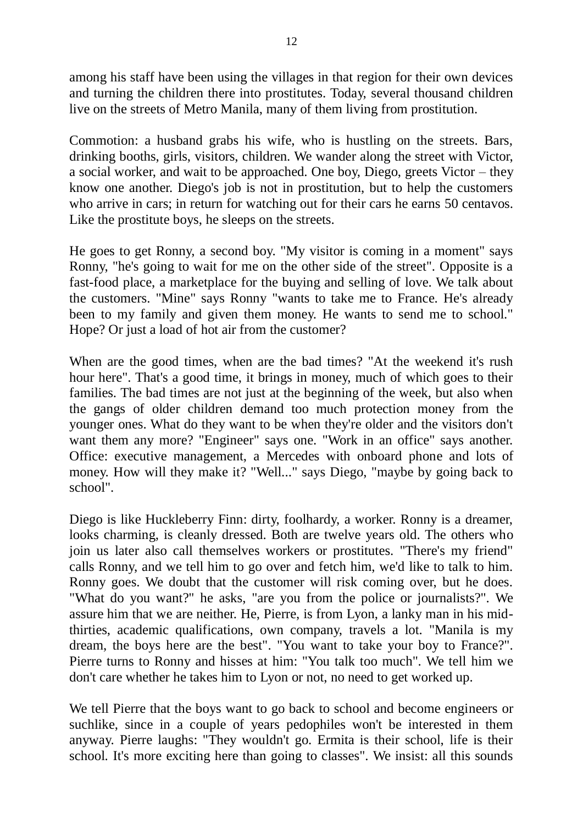among his staff have been using the villages in that region for their own devices and turning the children there into prostitutes. Today, several thousand children live on the streets of Metro Manila, many of them living from prostitution.

Commotion: a husband grabs his wife, who is hustling on the streets. Bars, drinking booths, girls, visitors, children. We wander along the street with Victor, a social worker, and wait to be approached. One boy, Diego, greets Victor – they know one another. Diego's job is not in prostitution, but to help the customers who arrive in cars; in return for watching out for their cars he earns 50 centavos. Like the prostitute boys, he sleeps on the streets.

He goes to get Ronny, a second boy. "My visitor is coming in a moment" says Ronny, "he's going to wait for me on the other side of the street". Opposite is a fast-food place, a marketplace for the buying and selling of love. We talk about the customers. "Mine" says Ronny "wants to take me to France. He's already been to my family and given them money. He wants to send me to school." Hope? Or just a load of hot air from the customer?

When are the good times, when are the bad times? "At the weekend it's rush hour here". That's a good time, it brings in money, much of which goes to their families. The bad times are not just at the beginning of the week, but also when the gangs of older children demand too much protection money from the younger ones. What do they want to be when they're older and the visitors don't want them any more? "Engineer" says one. "Work in an office" says another. Office: executive management, a Mercedes with onboard phone and lots of money. How will they make it? "Well..." says Diego, "maybe by going back to school".

Diego is like Huckleberry Finn: dirty, foolhardy, a worker. Ronny is a dreamer, looks charming, is cleanly dressed. Both are twelve years old. The others who join us later also call themselves workers or prostitutes. "There's my friend" calls Ronny, and we tell him to go over and fetch him, we'd like to talk to him. Ronny goes. We doubt that the customer will risk coming over, but he does. "What do you want?" he asks, "are you from the police or journalists?". We assure him that we are neither. He, Pierre, is from Lyon, a lanky man in his midthirties, academic qualifications, own company, travels a lot. "Manila is my dream, the boys here are the best". "You want to take your boy to France?". Pierre turns to Ronny and hisses at him: "You talk too much". We tell him we don't care whether he takes him to Lyon or not, no need to get worked up.

We tell Pierre that the boys want to go back to school and become engineers or suchlike, since in a couple of years pedophiles won't be interested in them anyway. Pierre laughs: "They wouldn't go. Ermita is their school, life is their school. It's more exciting here than going to classes". We insist: all this sounds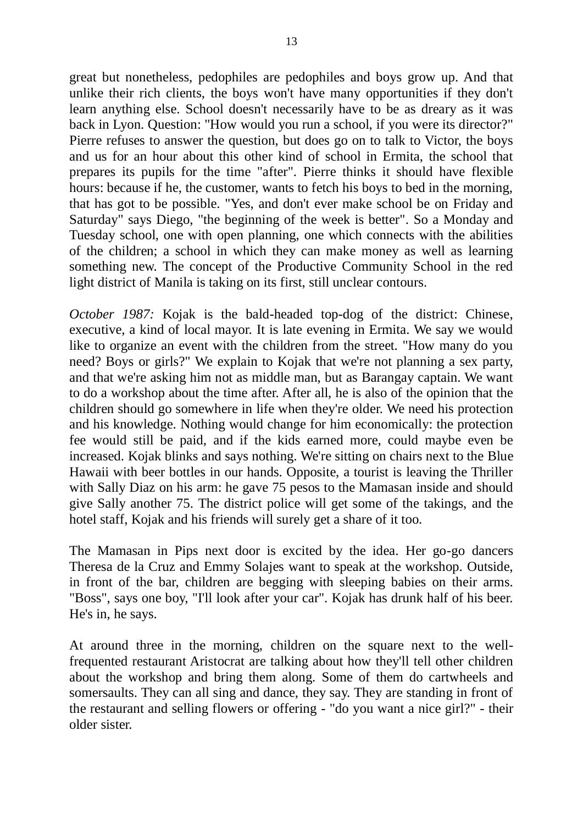great but nonetheless, pedophiles are pedophiles and boys grow up. And that unlike their rich clients, the boys won't have many opportunities if they don't learn anything else. School doesn't necessarily have to be as dreary as it was back in Lyon. Question: "How would you run a school, if you were its director?" Pierre refuses to answer the question, but does go on to talk to Victor, the boys and us for an hour about this other kind of school in Ermita, the school that prepares its pupils for the time "after". Pierre thinks it should have flexible hours: because if he, the customer, wants to fetch his boys to bed in the morning, that has got to be possible. "Yes, and don't ever make school be on Friday and Saturday" says Diego, "the beginning of the week is better". So a Monday and Tuesday school, one with open planning, one which connects with the abilities of the children; a school in which they can make money as well as learning something new. The concept of the Productive Community School in the red light district of Manila is taking on its first, still unclear contours.

*October 1987:* Kojak is the bald-headed top-dog of the district: Chinese, executive, a kind of local mayor. It is late evening in Ermita. We say we would like to organize an event with the children from the street. "How many do you need? Boys or girls?" We explain to Kojak that we're not planning a sex party, and that we're asking him not as middle man, but as Barangay captain. We want to do a workshop about the time after. After all, he is also of the opinion that the children should go somewhere in life when they're older. We need his protection and his knowledge. Nothing would change for him economically: the protection fee would still be paid, and if the kids earned more, could maybe even be increased. Kojak blinks and says nothing. We're sitting on chairs next to the Blue Hawaii with beer bottles in our hands. Opposite, a tourist is leaving the Thriller with Sally Diaz on his arm: he gave 75 pesos to the Mamasan inside and should give Sally another 75. The district police will get some of the takings, and the hotel staff, Kojak and his friends will surely get a share of it too.

The Mamasan in Pips next door is excited by the idea. Her go-go dancers Theresa de la Cruz and Emmy Solajes want to speak at the workshop. Outside, in front of the bar, children are begging with sleeping babies on their arms. "Boss", says one boy, "I'll look after your car". Kojak has drunk half of his beer. He's in, he says.

At around three in the morning, children on the square next to the wellfrequented restaurant Aristocrat are talking about how they'll tell other children about the workshop and bring them along. Some of them do cartwheels and somersaults. They can all sing and dance, they say. They are standing in front of the restaurant and selling flowers or offering - "do you want a nice girl?" - their older sister.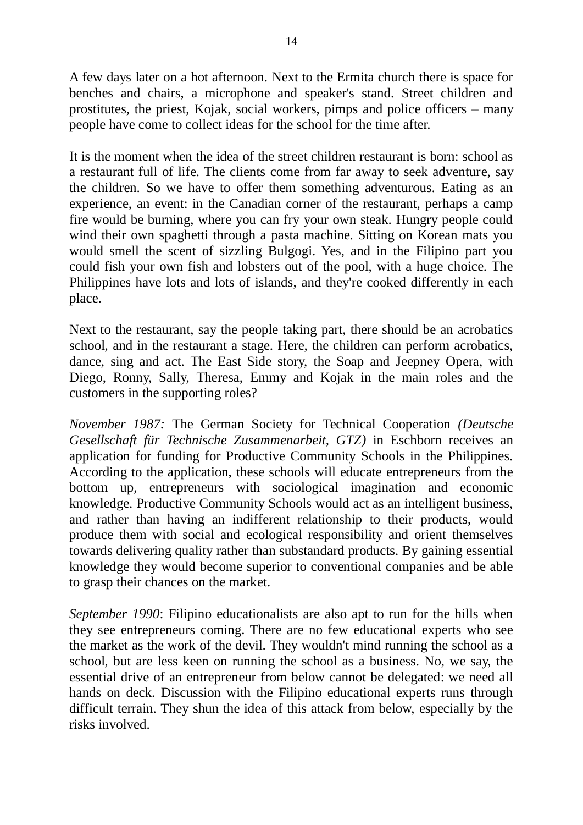A few days later on a hot afternoon. Next to the Ermita church there is space for benches and chairs, a microphone and speaker's stand. Street children and prostitutes, the priest, Kojak, social workers, pimps and police officers – many people have come to collect ideas for the school for the time after.

It is the moment when the idea of the street children restaurant is born: school as a restaurant full of life. The clients come from far away to seek adventure, say the children. So we have to offer them something adventurous. Eating as an experience, an event: in the Canadian corner of the restaurant, perhaps a camp fire would be burning, where you can fry your own steak. Hungry people could wind their own spaghetti through a pasta machine. Sitting on Korean mats you would smell the scent of sizzling Bulgogi. Yes, and in the Filipino part you could fish your own fish and lobsters out of the pool, with a huge choice. The Philippines have lots and lots of islands, and they're cooked differently in each place.

Next to the restaurant, say the people taking part, there should be an acrobatics school, and in the restaurant a stage. Here, the children can perform acrobatics, dance, sing and act. The East Side story, the Soap and Jeepney Opera, with Diego, Ronny, Sally, Theresa, Emmy and Kojak in the main roles and the customers in the supporting roles?

*November 1987:* The German Society for Technical Cooperation *(Deutsche Gesellschaft für Technische Zusammenarbeit, GTZ)* in Eschborn receives an application for funding for Productive Community Schools in the Philippines. According to the application, these schools will educate entrepreneurs from the bottom up, entrepreneurs with sociological imagination and economic knowledge. Productive Community Schools would act as an intelligent business, and rather than having an indifferent relationship to their products, would produce them with social and ecological responsibility and orient themselves towards delivering quality rather than substandard products. By gaining essential knowledge they would become superior to conventional companies and be able to grasp their chances on the market.

*September 1990*: Filipino educationalists are also apt to run for the hills when they see entrepreneurs coming. There are no few educational experts who see the market as the work of the devil. They wouldn't mind running the school as a school, but are less keen on running the school as a business. No, we say, the essential drive of an entrepreneur from below cannot be delegated: we need all hands on deck. Discussion with the Filipino educational experts runs through difficult terrain. They shun the idea of this attack from below, especially by the risks involved.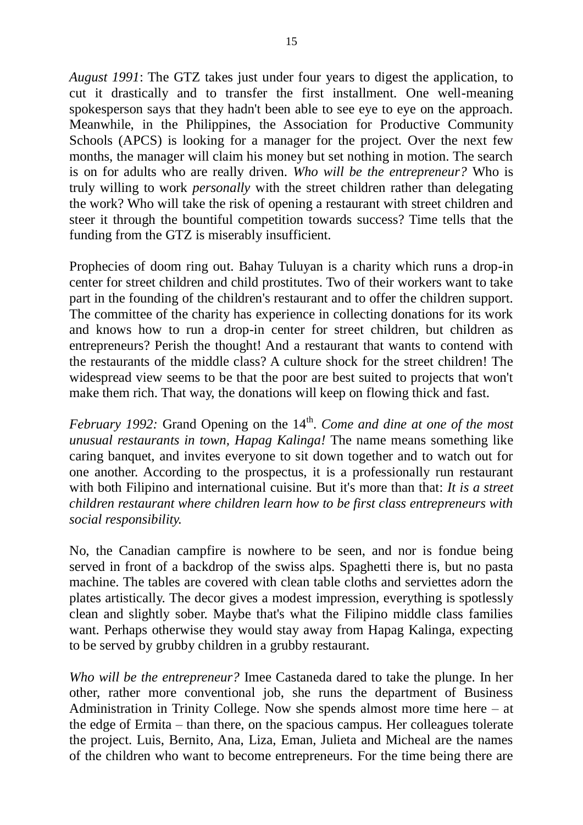*August 1991*: The GTZ takes just under four years to digest the application, to cut it drastically and to transfer the first installment. One well-meaning spokesperson says that they hadn't been able to see eye to eye on the approach. Meanwhile, in the Philippines, the Association for Productive Community Schools (APCS) is looking for a manager for the project. Over the next few months, the manager will claim his money but set nothing in motion. The search is on for adults who are really driven. *Who will be the entrepreneur?* Who is truly willing to work *personally* with the street children rather than delegating the work? Who will take the risk of opening a restaurant with street children and steer it through the bountiful competition towards success? Time tells that the funding from the GTZ is miserably insufficient.

Prophecies of doom ring out. Bahay Tuluyan is a charity which runs a drop-in center for street children and child prostitutes. Two of their workers want to take part in the founding of the children's restaurant and to offer the children support. The committee of the charity has experience in collecting donations for its work and knows how to run a drop-in center for street children, but children as entrepreneurs? Perish the thought! And a restaurant that wants to contend with the restaurants of the middle class? A culture shock for the street children! The widespread view seems to be that the poor are best suited to projects that won't make them rich. That way, the donations will keep on flowing thick and fast.

*February 1992:* Grand Opening on the 14<sup>th</sup>. *Come and dine at one of the most unusual restaurants in town, Hapag Kalinga!* The name means something like caring banquet, and invites everyone to sit down together and to watch out for one another. According to the prospectus, it is a professionally run restaurant with both Filipino and international cuisine. But it's more than that: *It is a street children restaurant where children learn how to be first class entrepreneurs with social responsibility.*

No, the Canadian campfire is nowhere to be seen, and nor is fondue being served in front of a backdrop of the swiss alps. Spaghetti there is, but no pasta machine. The tables are covered with clean table cloths and serviettes adorn the plates artistically. The decor gives a modest impression, everything is spotlessly clean and slightly sober. Maybe that's what the Filipino middle class families want. Perhaps otherwise they would stay away from Hapag Kalinga, expecting to be served by grubby children in a grubby restaurant.

*Who will be the entrepreneur?* Imee Castaneda dared to take the plunge. In her other, rather more conventional job, she runs the department of Business Administration in Trinity College. Now she spends almost more time here – at the edge of Ermita – than there, on the spacious campus. Her colleagues tolerate the project. Luis, Bernito, Ana, Liza, Eman, Julieta and Micheal are the names of the children who want to become entrepreneurs. For the time being there are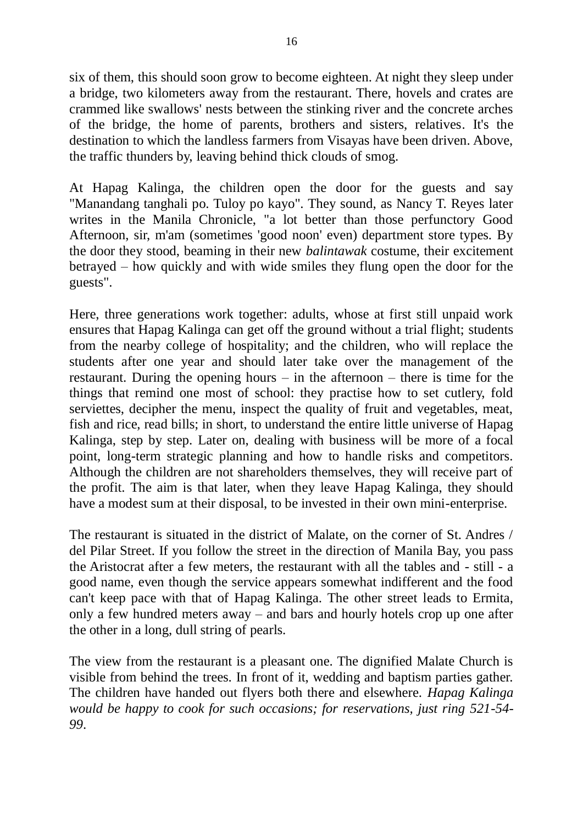six of them, this should soon grow to become eighteen. At night they sleep under a bridge, two kilometers away from the restaurant. There, hovels and crates are crammed like swallows' nests between the stinking river and the concrete arches of the bridge, the home of parents, brothers and sisters, relatives. It's the destination to which the landless farmers from Visayas have been driven. Above, the traffic thunders by, leaving behind thick clouds of smog.

At Hapag Kalinga, the children open the door for the guests and say "Manandang tanghali po. Tuloy po kayo". They sound, as Nancy T. Reyes later writes in the Manila Chronicle, "a lot better than those perfunctory Good Afternoon, sir, m'am (sometimes 'good noon' even) department store types. By the door they stood, beaming in their new *balintawak* costume, their excitement betrayed – how quickly and with wide smiles they flung open the door for the guests".

Here, three generations work together: adults, whose at first still unpaid work ensures that Hapag Kalinga can get off the ground without a trial flight; students from the nearby college of hospitality; and the children, who will replace the students after one year and should later take over the management of the restaurant. During the opening hours – in the afternoon – there is time for the things that remind one most of school: they practise how to set cutlery, fold serviettes, decipher the menu, inspect the quality of fruit and vegetables, meat, fish and rice, read bills; in short, to understand the entire little universe of Hapag Kalinga, step by step. Later on, dealing with business will be more of a focal point, long-term strategic planning and how to handle risks and competitors. Although the children are not shareholders themselves, they will receive part of the profit. The aim is that later, when they leave Hapag Kalinga, they should have a modest sum at their disposal, to be invested in their own mini-enterprise.

The restaurant is situated in the district of Malate, on the corner of St. Andres / del Pilar Street. If you follow the street in the direction of Manila Bay, you pass the Aristocrat after a few meters, the restaurant with all the tables and - still - a good name, even though the service appears somewhat indifferent and the food can't keep pace with that of Hapag Kalinga. The other street leads to Ermita, only a few hundred meters away – and bars and hourly hotels crop up one after the other in a long, dull string of pearls.

The view from the restaurant is a pleasant one. The dignified Malate Church is visible from behind the trees. In front of it, wedding and baptism parties gather. The children have handed out flyers both there and elsewhere. *Hapag Kalinga would be happy to cook for such occasions; for reservations, just ring 521-54- 99*.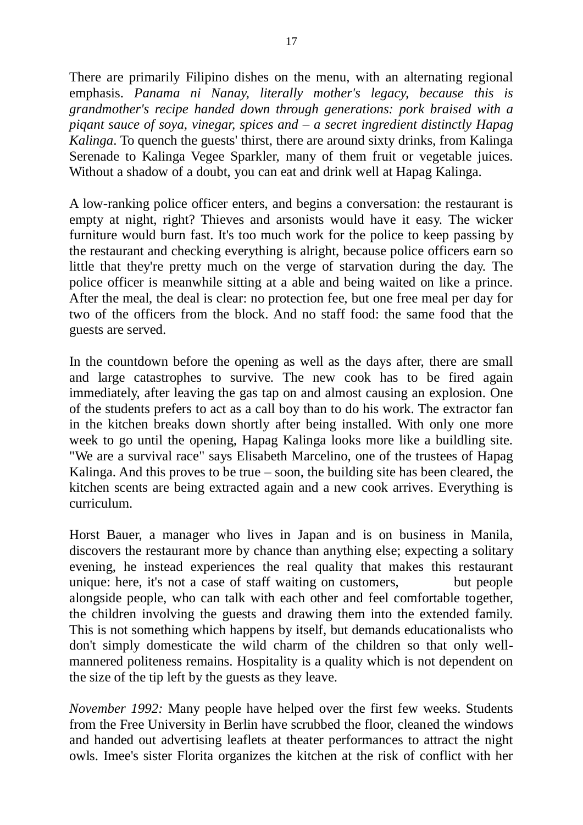There are primarily Filipino dishes on the menu, with an alternating regional emphasis. *Panama ni Nanay, literally mother's legacy, because this is grandmother's recipe handed down through generations: pork braised with a piqant sauce of soya, vinegar, spices and – a secret ingredient distinctly Hapag Kalinga*. To quench the guests' thirst, there are around sixty drinks, from Kalinga Serenade to Kalinga Vegee Sparkler, many of them fruit or vegetable juices. Without a shadow of a doubt, you can eat and drink well at Hapag Kalinga.

A low-ranking police officer enters, and begins a conversation: the restaurant is empty at night, right? Thieves and arsonists would have it easy. The wicker furniture would burn fast. It's too much work for the police to keep passing by the restaurant and checking everything is alright, because police officers earn so little that they're pretty much on the verge of starvation during the day. The police officer is meanwhile sitting at a able and being waited on like a prince. After the meal, the deal is clear: no protection fee, but one free meal per day for two of the officers from the block. And no staff food: the same food that the guests are served.

In the countdown before the opening as well as the days after, there are small and large catastrophes to survive. The new cook has to be fired again immediately, after leaving the gas tap on and almost causing an explosion. One of the students prefers to act as a call boy than to do his work. The extractor fan in the kitchen breaks down shortly after being installed. With only one more week to go until the opening, Hapag Kalinga looks more like a buildling site. "We are a survival race" says Elisabeth Marcelino, one of the trustees of Hapag Kalinga. And this proves to be true – soon, the building site has been cleared, the kitchen scents are being extracted again and a new cook arrives. Everything is curriculum.

Horst Bauer, a manager who lives in Japan and is on business in Manila, discovers the restaurant more by chance than anything else; expecting a solitary evening, he instead experiences the real quality that makes this restaurant unique: here, it's not a case of staff waiting on customers, but people alongside people, who can talk with each other and feel comfortable together, the children involving the guests and drawing them into the extended family. This is not something which happens by itself, but demands educationalists who don't simply domesticate the wild charm of the children so that only wellmannered politeness remains. Hospitality is a quality which is not dependent on the size of the tip left by the guests as they leave.

*November 1992:* Many people have helped over the first few weeks. Students from the Free University in Berlin have scrubbed the floor, cleaned the windows and handed out advertising leaflets at theater performances to attract the night owls. Imee's sister Florita organizes the kitchen at the risk of conflict with her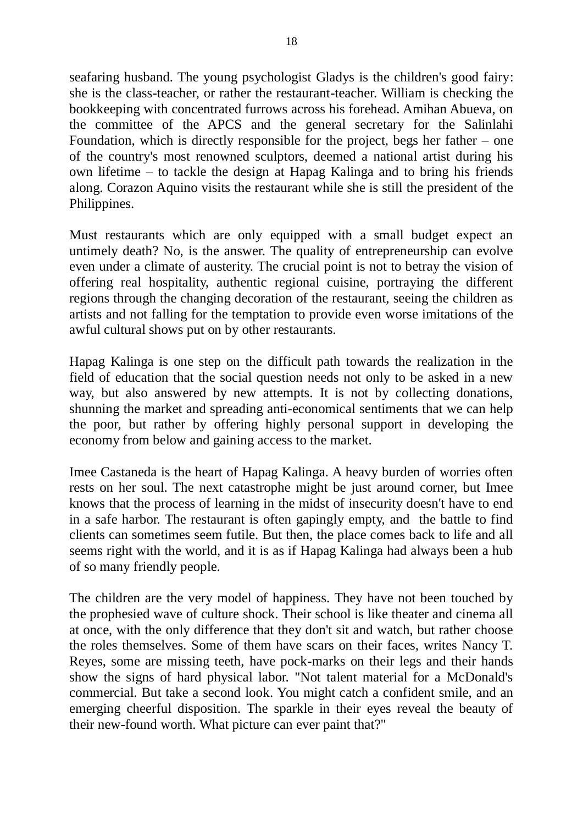seafaring husband. The young psychologist Gladys is the children's good fairy: she is the class-teacher, or rather the restaurant-teacher. William is checking the bookkeeping with concentrated furrows across his forehead. Amihan Abueva, on the committee of the APCS and the general secretary for the Salinlahi Foundation, which is directly responsible for the project, begs her father – one of the country's most renowned sculptors, deemed a national artist during his own lifetime – to tackle the design at Hapag Kalinga and to bring his friends along. Corazon Aquino visits the restaurant while she is still the president of the Philippines.

Must restaurants which are only equipped with a small budget expect an untimely death? No, is the answer. The quality of entrepreneurship can evolve even under a climate of austerity. The crucial point is not to betray the vision of offering real hospitality, authentic regional cuisine, portraying the different regions through the changing decoration of the restaurant, seeing the children as artists and not falling for the temptation to provide even worse imitations of the awful cultural shows put on by other restaurants.

Hapag Kalinga is one step on the difficult path towards the realization in the field of education that the social question needs not only to be asked in a new way, but also answered by new attempts. It is not by collecting donations, shunning the market and spreading anti-economical sentiments that we can help the poor, but rather by offering highly personal support in developing the economy from below and gaining access to the market.

Imee Castaneda is the heart of Hapag Kalinga. A heavy burden of worries often rests on her soul. The next catastrophe might be just around corner, but Imee knows that the process of learning in the midst of insecurity doesn't have to end in a safe harbor. The restaurant is often gapingly empty, and the battle to find clients can sometimes seem futile. But then, the place comes back to life and all seems right with the world, and it is as if Hapag Kalinga had always been a hub of so many friendly people.

The children are the very model of happiness. They have not been touched by the prophesied wave of culture shock. Their school is like theater and cinema all at once, with the only difference that they don't sit and watch, but rather choose the roles themselves. Some of them have scars on their faces, writes Nancy T. Reyes, some are missing teeth, have pock-marks on their legs and their hands show the signs of hard physical labor. "Not talent material for a McDonald's commercial. But take a second look. You might catch a confident smile, and an emerging cheerful disposition. The sparkle in their eyes reveal the beauty of their new-found worth. What picture can ever paint that?"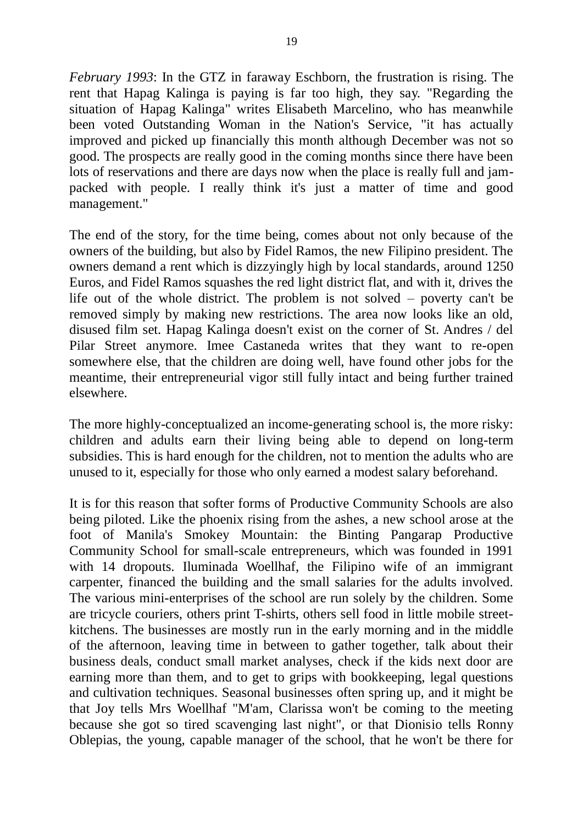*February 1993*: In the GTZ in faraway Eschborn, the frustration is rising. The rent that Hapag Kalinga is paying is far too high, they say. "Regarding the situation of Hapag Kalinga" writes Elisabeth Marcelino, who has meanwhile been voted Outstanding Woman in the Nation's Service, "it has actually improved and picked up financially this month although December was not so good. The prospects are really good in the coming months since there have been lots of reservations and there are days now when the place is really full and jampacked with people. I really think it's just a matter of time and good management."

The end of the story, for the time being, comes about not only because of the owners of the building, but also by Fidel Ramos, the new Filipino president. The owners demand a rent which is dizzyingly high by local standards, around 1250 Euros, and Fidel Ramos squashes the red light district flat, and with it, drives the life out of the whole district. The problem is not solved – poverty can't be removed simply by making new restrictions. The area now looks like an old, disused film set. Hapag Kalinga doesn't exist on the corner of St. Andres / del Pilar Street anymore. Imee Castaneda writes that they want to re-open somewhere else, that the children are doing well, have found other jobs for the meantime, their entrepreneurial vigor still fully intact and being further trained elsewhere.

The more highly-conceptualized an income-generating school is, the more risky: children and adults earn their living being able to depend on long-term subsidies. This is hard enough for the children, not to mention the adults who are unused to it, especially for those who only earned a modest salary beforehand.

It is for this reason that softer forms of Productive Community Schools are also being piloted. Like the phoenix rising from the ashes, a new school arose at the foot of Manila's Smokey Mountain: the Binting Pangarap Productive Community School for small-scale entrepreneurs, which was founded in 1991 with 14 dropouts. Iluminada Woellhaf, the Filipino wife of an immigrant carpenter, financed the building and the small salaries for the adults involved. The various mini-enterprises of the school are run solely by the children. Some are tricycle couriers, others print T-shirts, others sell food in little mobile streetkitchens. The businesses are mostly run in the early morning and in the middle of the afternoon, leaving time in between to gather together, talk about their business deals, conduct small market analyses, check if the kids next door are earning more than them, and to get to grips with bookkeeping, legal questions and cultivation techniques. Seasonal businesses often spring up, and it might be that Joy tells Mrs Woellhaf "M'am, Clarissa won't be coming to the meeting because she got so tired scavenging last night", or that Dionisio tells Ronny Oblepias, the young, capable manager of the school, that he won't be there for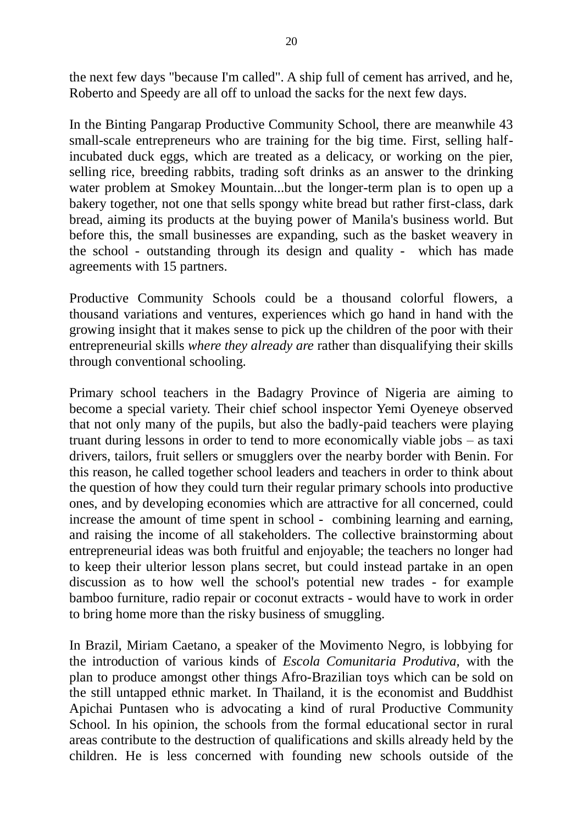the next few days "because I'm called". A ship full of cement has arrived, and he, Roberto and Speedy are all off to unload the sacks for the next few days.

In the Binting Pangarap Productive Community School, there are meanwhile 43 small-scale entrepreneurs who are training for the big time. First, selling halfincubated duck eggs, which are treated as a delicacy, or working on the pier, selling rice, breeding rabbits, trading soft drinks as an answer to the drinking water problem at Smokey Mountain...but the longer-term plan is to open up a bakery together, not one that sells spongy white bread but rather first-class, dark bread, aiming its products at the buying power of Manila's business world. But before this, the small businesses are expanding, such as the basket weavery in the school - outstanding through its design and quality - which has made agreements with 15 partners.

Productive Community Schools could be a thousand colorful flowers, a thousand variations and ventures, experiences which go hand in hand with the growing insight that it makes sense to pick up the children of the poor with their entrepreneurial skills *where they already are* rather than disqualifying their skills through conventional schooling.

Primary school teachers in the Badagry Province of Nigeria are aiming to become a special variety. Their chief school inspector Yemi Oyeneye observed that not only many of the pupils, but also the badly-paid teachers were playing truant during lessons in order to tend to more economically viable jobs – as taxi drivers, tailors, fruit sellers or smugglers over the nearby border with Benin. For this reason, he called together school leaders and teachers in order to think about the question of how they could turn their regular primary schools into productive ones, and by developing economies which are attractive for all concerned, could increase the amount of time spent in school - combining learning and earning, and raising the income of all stakeholders. The collective brainstorming about entrepreneurial ideas was both fruitful and enjoyable; the teachers no longer had to keep their ulterior lesson plans secret, but could instead partake in an open discussion as to how well the school's potential new trades - for example bamboo furniture, radio repair or coconut extracts - would have to work in order to bring home more than the risky business of smuggling.

In Brazil, Miriam Caetano, a speaker of the Movimento Negro, is lobbying for the introduction of various kinds of *Escola Comunitaria Produtiva,* with the plan to produce amongst other things Afro-Brazilian toys which can be sold on the still untapped ethnic market. In Thailand, it is the economist and Buddhist Apichai Puntasen who is advocating a kind of rural Productive Community School. In his opinion, the schools from the formal educational sector in rural areas contribute to the destruction of qualifications and skills already held by the children. He is less concerned with founding new schools outside of the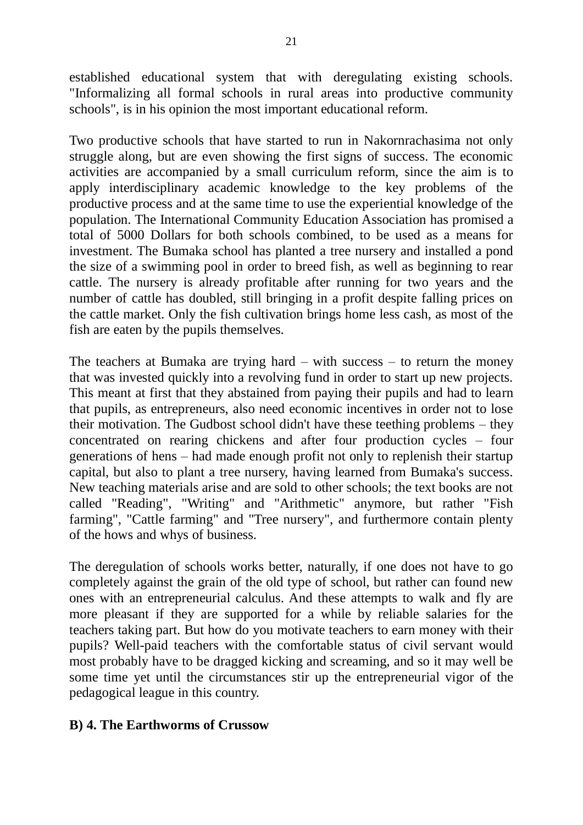established educational system that with deregulating existing schools. "Informalizing all formal schools in rural areas into productive community schools", is in his opinion the most important educational reform.

Two productive schools that have started to run in Nakornrachasima not only struggle along, but are even showing the first signs of success. The economic activities are accompanied by a small curriculum reform, since the aim is to apply interdisciplinary academic knowledge to the key problems of the productive process and at the same time to use the experiential knowledge of the population. The International Community Education Association has promised a total of 5000 Dollars for both schools combined, to be used as a means for investment. The Bumaka school has planted a tree nursery and installed a pond the size of a swimming pool in order to breed fish, as well as beginning to rear cattle. The nursery is already profitable after running for two years and the number of cattle has doubled, still bringing in a profit despite falling prices on the cattle market. Only the fish cultivation brings home less cash, as most of the fish are eaten by the pupils themselves.

The teachers at Bumaka are trying hard – with success – to return the money that was invested quickly into a revolving fund in order to start up new projects. This meant at first that they abstained from paying their pupils and had to learn that pupils, as entrepreneurs, also need economic incentives in order not to lose their motivation. The Gudbost school didn't have these teething problems – they concentrated on rearing chickens and after four production cycles – four generations of hens – had made enough profit not only to replenish their startup capital, but also to plant a tree nursery, having learned from Bumaka's success. New teaching materials arise and are sold to other schools; the text books are not called "Reading", "Writing" and "Arithmetic" anymore, but rather "Fish farming", "Cattle farming" and "Tree nursery", and furthermore contain plenty of the hows and whys of business.

The deregulation of schools works better, naturally, if one does not have to go completely against the grain of the old type of school, but rather can found new ones with an entrepreneurial calculus. And these attempts to walk and fly are more pleasant if they are supported for a while by reliable salaries for the teachers taking part. But how do you motivate teachers to earn money with their pupils? Well-paid teachers with the comfortable status of civil servant would most probably have to be dragged kicking and screaming, and so it may well be some time yet until the circumstances stir up the entrepreneurial vigor of the pedagogical league in this country.

#### **B) 4. The Earthworms of Crussow**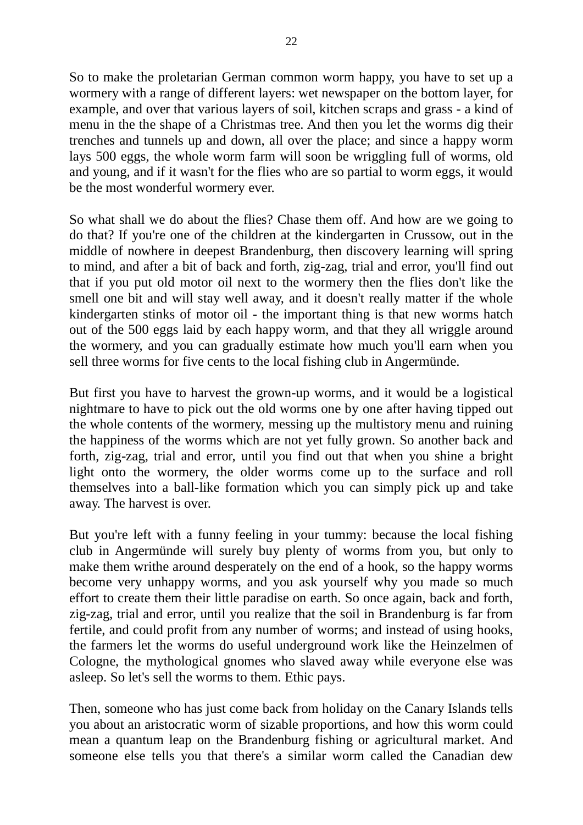So to make the proletarian German common worm happy, you have to set up a wormery with a range of different layers: wet newspaper on the bottom layer, for example, and over that various layers of soil, kitchen scraps and grass - a kind of menu in the the shape of a Christmas tree. And then you let the worms dig their trenches and tunnels up and down, all over the place; and since a happy worm lays 500 eggs, the whole worm farm will soon be wriggling full of worms, old and young, and if it wasn't for the flies who are so partial to worm eggs, it would be the most wonderful wormery ever.

So what shall we do about the flies? Chase them off. And how are we going to do that? If you're one of the children at the kindergarten in Crussow, out in the middle of nowhere in deepest Brandenburg, then discovery learning will spring to mind, and after a bit of back and forth, zig-zag, trial and error, you'll find out that if you put old motor oil next to the wormery then the flies don't like the smell one bit and will stay well away, and it doesn't really matter if the whole kindergarten stinks of motor oil - the important thing is that new worms hatch out of the 500 eggs laid by each happy worm, and that they all wriggle around the wormery, and you can gradually estimate how much you'll earn when you sell three worms for five cents to the local fishing club in Angermünde.

But first you have to harvest the grown-up worms, and it would be a logistical nightmare to have to pick out the old worms one by one after having tipped out the whole contents of the wormery, messing up the multistory menu and ruining the happiness of the worms which are not yet fully grown. So another back and forth, zig-zag, trial and error, until you find out that when you shine a bright light onto the wormery, the older worms come up to the surface and roll themselves into a ball-like formation which you can simply pick up and take away. The harvest is over.

But you're left with a funny feeling in your tummy: because the local fishing club in Angermünde will surely buy plenty of worms from you, but only to make them writhe around desperately on the end of a hook, so the happy worms become very unhappy worms, and you ask yourself why you made so much effort to create them their little paradise on earth. So once again, back and forth, zig-zag, trial and error, until you realize that the soil in Brandenburg is far from fertile, and could profit from any number of worms; and instead of using hooks, the farmers let the worms do useful underground work like the Heinzelmen of Cologne, the mythological gnomes who slaved away while everyone else was asleep. So let's sell the worms to them. Ethic pays.

Then, someone who has just come back from holiday on the Canary Islands tells you about an aristocratic worm of sizable proportions, and how this worm could mean a quantum leap on the Brandenburg fishing or agricultural market. And someone else tells you that there's a similar worm called the Canadian dew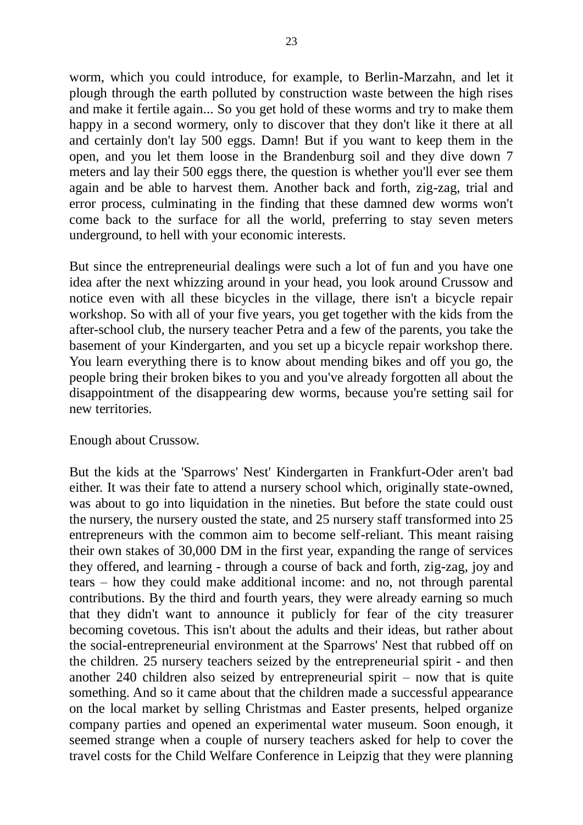worm, which you could introduce, for example, to Berlin-Marzahn, and let it plough through the earth polluted by construction waste between the high rises and make it fertile again... So you get hold of these worms and try to make them happy in a second wormery, only to discover that they don't like it there at all and certainly don't lay 500 eggs. Damn! But if you want to keep them in the open, and you let them loose in the Brandenburg soil and they dive down 7 meters and lay their 500 eggs there, the question is whether you'll ever see them again and be able to harvest them. Another back and forth, zig-zag, trial and error process, culminating in the finding that these damned dew worms won't come back to the surface for all the world, preferring to stay seven meters underground, to hell with your economic interests.

But since the entrepreneurial dealings were such a lot of fun and you have one idea after the next whizzing around in your head, you look around Crussow and notice even with all these bicycles in the village, there isn't a bicycle repair workshop. So with all of your five years, you get together with the kids from the after-school club, the nursery teacher Petra and a few of the parents, you take the basement of your Kindergarten, and you set up a bicycle repair workshop there. You learn everything there is to know about mending bikes and off you go, the people bring their broken bikes to you and you've already forgotten all about the disappointment of the disappearing dew worms, because you're setting sail for new territories.

#### Enough about Crussow.

But the kids at the 'Sparrows' Nest' Kindergarten in Frankfurt-Oder aren't bad either. It was their fate to attend a nursery school which, originally state-owned, was about to go into liquidation in the nineties. But before the state could oust the nursery, the nursery ousted the state, and 25 nursery staff transformed into 25 entrepreneurs with the common aim to become self-reliant. This meant raising their own stakes of 30,000 DM in the first year, expanding the range of services they offered, and learning - through a course of back and forth, zig-zag, joy and tears – how they could make additional income: and no, not through parental contributions. By the third and fourth years, they were already earning so much that they didn't want to announce it publicly for fear of the city treasurer becoming covetous. This isn't about the adults and their ideas, but rather about the social-entrepreneurial environment at the Sparrows' Nest that rubbed off on the children. 25 nursery teachers seized by the entrepreneurial spirit - and then another 240 children also seized by entrepreneurial spirit – now that is quite something. And so it came about that the children made a successful appearance on the local market by selling Christmas and Easter presents, helped organize company parties and opened an experimental water museum. Soon enough, it seemed strange when a couple of nursery teachers asked for help to cover the travel costs for the Child Welfare Conference in Leipzig that they were planning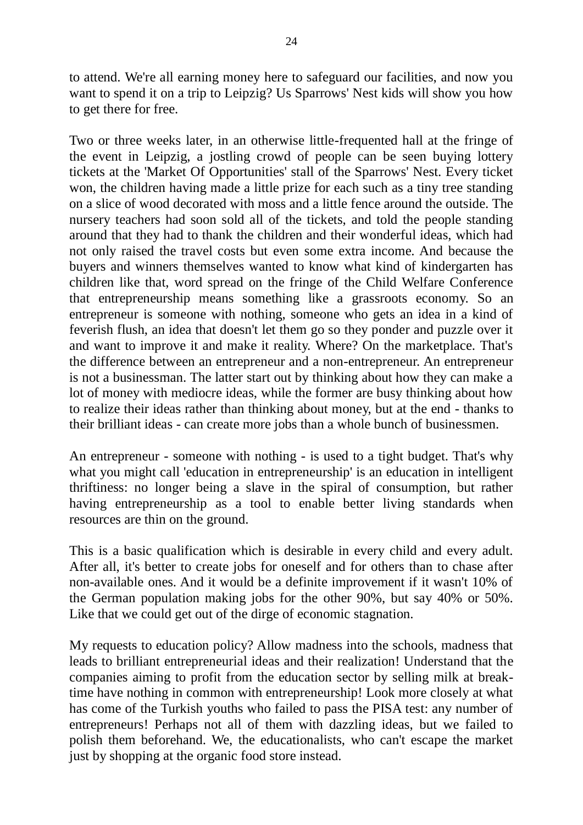to attend. We're all earning money here to safeguard our facilities, and now you want to spend it on a trip to Leipzig? Us Sparrows' Nest kids will show you how to get there for free.

Two or three weeks later, in an otherwise little-frequented hall at the fringe of the event in Leipzig, a jostling crowd of people can be seen buying lottery tickets at the 'Market Of Opportunities' stall of the Sparrows' Nest. Every ticket won, the children having made a little prize for each such as a tiny tree standing on a slice of wood decorated with moss and a little fence around the outside. The nursery teachers had soon sold all of the tickets, and told the people standing around that they had to thank the children and their wonderful ideas, which had not only raised the travel costs but even some extra income. And because the buyers and winners themselves wanted to know what kind of kindergarten has children like that, word spread on the fringe of the Child Welfare Conference that entrepreneurship means something like a grassroots economy. So an entrepreneur is someone with nothing, someone who gets an idea in a kind of feverish flush, an idea that doesn't let them go so they ponder and puzzle over it and want to improve it and make it reality. Where? On the marketplace. That's the difference between an entrepreneur and a non-entrepreneur. An entrepreneur is not a businessman. The latter start out by thinking about how they can make a lot of money with mediocre ideas, while the former are busy thinking about how to realize their ideas rather than thinking about money, but at the end - thanks to their brilliant ideas - can create more jobs than a whole bunch of businessmen.

An entrepreneur - someone with nothing - is used to a tight budget. That's why what you might call 'education in entrepreneurship' is an education in intelligent thriftiness: no longer being a slave in the spiral of consumption, but rather having entrepreneurship as a tool to enable better living standards when resources are thin on the ground.

This is a basic qualification which is desirable in every child and every adult. After all, it's better to create jobs for oneself and for others than to chase after non-available ones. And it would be a definite improvement if it wasn't 10% of the German population making jobs for the other 90%, but say 40% or 50%. Like that we could get out of the dirge of economic stagnation.

My requests to education policy? Allow madness into the schools, madness that leads to brilliant entrepreneurial ideas and their realization! Understand that the companies aiming to profit from the education sector by selling milk at breaktime have nothing in common with entrepreneurship! Look more closely at what has come of the Turkish youths who failed to pass the PISA test: any number of entrepreneurs! Perhaps not all of them with dazzling ideas, but we failed to polish them beforehand. We, the educationalists, who can't escape the market just by shopping at the organic food store instead.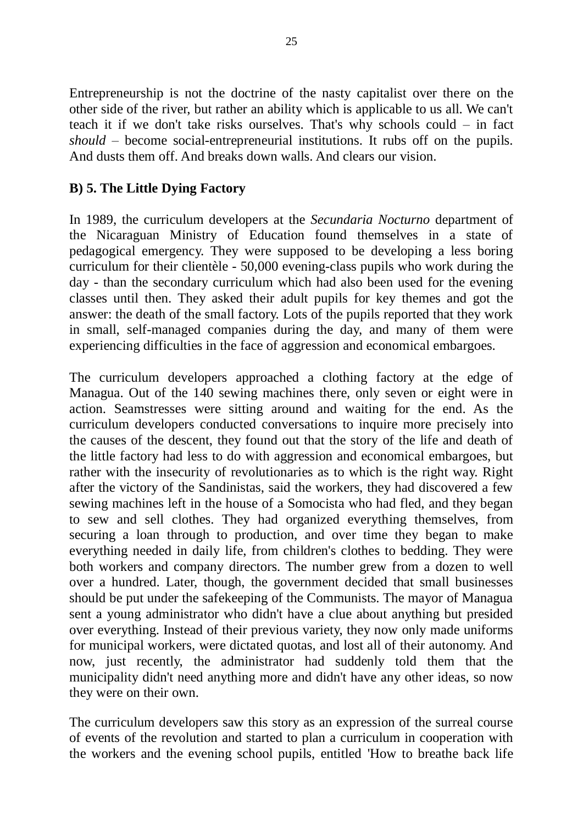Entrepreneurship is not the doctrine of the nasty capitalist over there on the other side of the river, but rather an ability which is applicable to us all. We can't teach it if we don't take risks ourselves. That's why schools could – in fact *should* – become social-entrepreneurial institutions. It rubs off on the pupils. And dusts them off. And breaks down walls. And clears our vision.

#### **B) 5. The Little Dying Factory**

In 1989, the curriculum developers at the *Secundaria Nocturno* department of the Nicaraguan Ministry of Education found themselves in a state of pedagogical emergency. They were supposed to be developing a less boring curriculum for their clientèle - 50,000 evening-class pupils who work during the day - than the secondary curriculum which had also been used for the evening classes until then. They asked their adult pupils for key themes and got the answer: the death of the small factory. Lots of the pupils reported that they work in small, self-managed companies during the day, and many of them were experiencing difficulties in the face of aggression and economical embargoes.

The curriculum developers approached a clothing factory at the edge of Managua. Out of the 140 sewing machines there, only seven or eight were in action. Seamstresses were sitting around and waiting for the end. As the curriculum developers conducted conversations to inquire more precisely into the causes of the descent, they found out that the story of the life and death of the little factory had less to do with aggression and economical embargoes, but rather with the insecurity of revolutionaries as to which is the right way. Right after the victory of the Sandinistas, said the workers, they had discovered a few sewing machines left in the house of a Somocista who had fled, and they began to sew and sell clothes. They had organized everything themselves, from securing a loan through to production, and over time they began to make everything needed in daily life, from children's clothes to bedding. They were both workers and company directors. The number grew from a dozen to well over a hundred. Later, though, the government decided that small businesses should be put under the safekeeping of the Communists. The mayor of Managua sent a young administrator who didn't have a clue about anything but presided over everything. Instead of their previous variety, they now only made uniforms for municipal workers, were dictated quotas, and lost all of their autonomy. And now, just recently, the administrator had suddenly told them that the municipality didn't need anything more and didn't have any other ideas, so now they were on their own.

The curriculum developers saw this story as an expression of the surreal course of events of the revolution and started to plan a curriculum in cooperation with the workers and the evening school pupils, entitled 'How to breathe back life